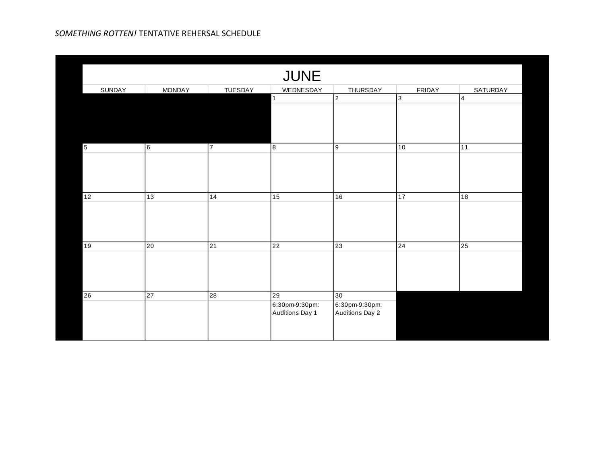| <b>JUNE</b> |                 |                 |                                         |                                                |                |                 |  |
|-------------|-----------------|-----------------|-----------------------------------------|------------------------------------------------|----------------|-----------------|--|
| SUNDAY      | <b>MONDAY</b>   | <b>TUESDAY</b>  | WEDNESDAY                               | <b>THURSDAY</b>                                | <b>FRIDAY</b>  | <b>SATURDAY</b> |  |
|             |                 |                 | $\mathbf{1}$                            | $\overline{2}$                                 | $\overline{3}$ | $\overline{4}$  |  |
| $\sqrt{5}$  | 6               | $\overline{7}$  | 8                                       | 9                                              | 10             | 11              |  |
| 12          | $\overline{13}$ | 14              | 15                                      | 16                                             | 17             | 18              |  |
| 19          | 20              | $\overline{21}$ | 22                                      | 23                                             | 24             | 25              |  |
| 26          | 27              | 28              | 29<br>6:30pm-9:30pm:<br>Auditions Day 1 | 30<br>6:30pm-9:30pm:<br><b>Auditions Day 2</b> |                |                 |  |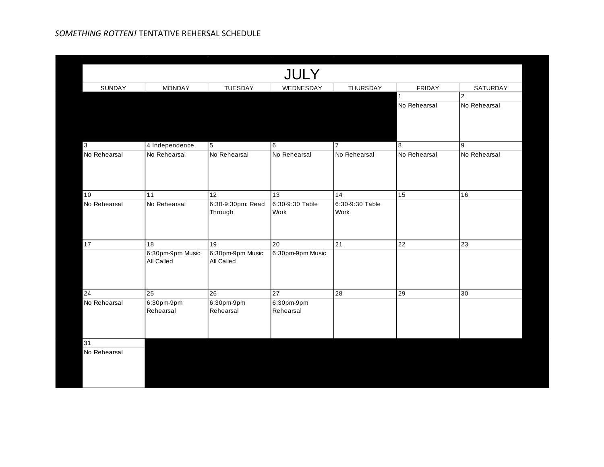|               |                  |                   | JULY             |                 |               |                |
|---------------|------------------|-------------------|------------------|-----------------|---------------|----------------|
| <b>SUNDAY</b> | <b>MONDAY</b>    | <b>TUESDAY</b>    | WEDNESDAY        | THURSDAY        | <b>FRIDAY</b> | SATURDAY       |
|               |                  |                   |                  |                 | $\mathbf{1}$  | $\overline{c}$ |
|               |                  |                   |                  |                 | No Rehearsal  | No Rehearsal   |
|               |                  |                   |                  |                 |               |                |
|               |                  |                   |                  |                 |               |                |
|               |                  |                   |                  |                 |               |                |
| 3             | 4 Independence   | 5                 | $6\overline{6}$  | 17              | 8             | 9              |
| No Rehearsal  | No Rehearsal     | No Rehearsal      | No Rehearsal     | No Rehearsal    | No Rehearsal  | No Rehearsal   |
|               |                  |                   |                  |                 |               |                |
|               |                  |                   |                  |                 |               |                |
|               |                  |                   |                  |                 |               |                |
| 10            | 11               | 12                | 13               | 14              | 15            | 16             |
| No Rehearsal  | No Rehearsal     | 6:30-9:30pm: Read | 6:30-9:30 Table  | 6:30-9:30 Table |               |                |
|               |                  | Through           | Work             | Work            |               |                |
|               |                  |                   |                  |                 |               |                |
|               |                  |                   |                  |                 |               |                |
| 17            | 18               | 19                | 20               | 21              | 22            | 23             |
|               | 6:30pm-9pm Music | 6:30pm-9pm Music  | 6:30pm-9pm Music |                 |               |                |
|               | All Called       | All Called        |                  |                 |               |                |
|               |                  |                   |                  |                 |               |                |
|               |                  |                   |                  |                 |               |                |
| 24            | $\overline{25}$  | $\overline{26}$   | 27               | $\overline{28}$ | 29            | 30             |
| No Rehearsal  | 6:30pm-9pm       | 6:30pm-9pm        | 6:30pm-9pm       |                 |               |                |
|               | Rehearsal        | Rehearsal         | Rehearsal        |                 |               |                |
|               |                  |                   |                  |                 |               |                |
|               |                  |                   |                  |                 |               |                |
| 31            |                  |                   |                  |                 |               |                |
| No Rehearsal  |                  |                   |                  |                 |               |                |
|               |                  |                   |                  |                 |               |                |
|               |                  |                   |                  |                 |               |                |
|               |                  |                   |                  |                 |               |                |
|               |                  |                   |                  |                 |               |                |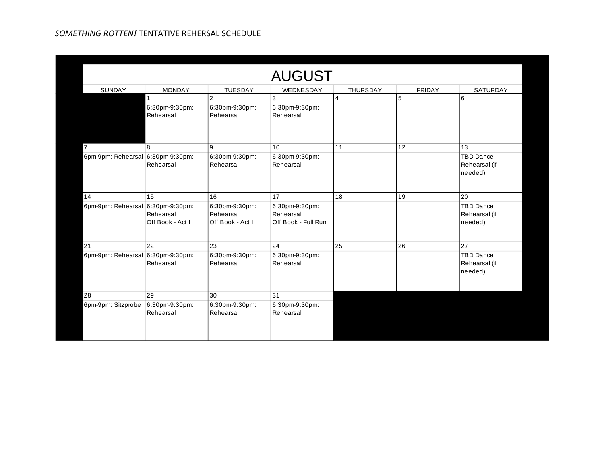| <b>AUGUST</b>                     |                               |                                                  |                                                    |                 |               |                                              |  |  |
|-----------------------------------|-------------------------------|--------------------------------------------------|----------------------------------------------------|-----------------|---------------|----------------------------------------------|--|--|
| SUNDAY                            | <b>MONDAY</b>                 | <b>TUESDAY</b>                                   | WEDNESDAY                                          | <b>THURSDAY</b> | <b>FRIDAY</b> | <b>SATURDAY</b>                              |  |  |
|                                   |                               | $\overline{2}$                                   | 3                                                  | $\overline{4}$  | 5             | 6                                            |  |  |
|                                   | 6:30pm-9:30pm:<br>Rehearsal   | 6:30pm-9:30pm:<br>Rehearsal                      | 6:30pm-9:30pm:<br>Rehearsal                        |                 |               |                                              |  |  |
| 7                                 | 8                             | $\overline{9}$                                   | 10                                                 | 11              | 12            | 13                                           |  |  |
| 6pm-9pm: Rehearsal 6:30pm-9:30pm: | Rehearsal                     | 6:30pm-9:30pm:<br>Rehearsal                      | 6:30pm-9:30pm:<br>Rehearsal                        |                 |               | <b>TBD Dance</b><br>Rehearsal (if<br>needed) |  |  |
| 14                                | 15                            | 16                                               | 17                                                 | 18              | 19            | 20                                           |  |  |
| 6pm-9pm: Rehearsal 6:30pm-9:30pm: | Rehearsal<br>Off Book - Act I | 6:30pm-9:30pm:<br>Rehearsal<br>Off Book - Act II | 6:30pm-9:30pm:<br>Rehearsal<br>Off Book - Full Run |                 |               | <b>TBD Dance</b><br>Rehearsal (if<br>needed) |  |  |
| 21                                | 22                            | 23                                               | 24                                                 | 25              | 26            | 27                                           |  |  |
| 6pm-9pm: Rehearsal 6:30pm-9:30pm: | Rehearsal                     | 6:30pm-9:30pm:<br>Rehearsal                      | 6:30pm-9:30pm:<br>Rehearsal                        |                 |               | <b>TBD Dance</b><br>Rehearsal (if<br>needed) |  |  |
| 28                                | 29                            | 30                                               | 31                                                 |                 |               |                                              |  |  |
| 6pm-9pm: Sitzprobe                | 6:30pm-9:30pm:<br>Rehearsal   | 6:30pm-9:30pm:<br>Rehearsal                      | 6:30pm-9:30pm:<br>Rehearsal                        |                 |               |                                              |  |  |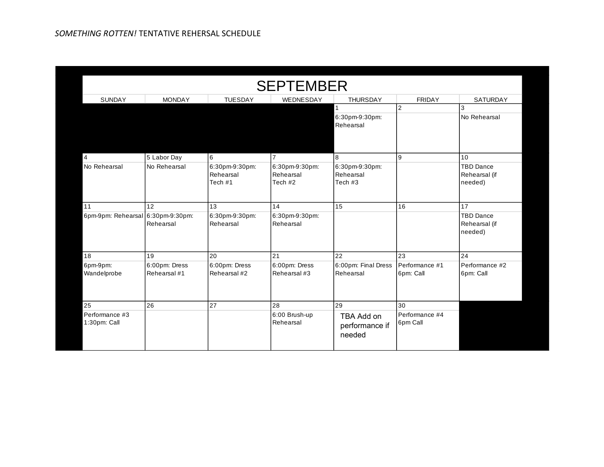| <b>SEPTEMBER</b>                  |                               |                                        |                                        |                                        |                             |                                              |  |
|-----------------------------------|-------------------------------|----------------------------------------|----------------------------------------|----------------------------------------|-----------------------------|----------------------------------------------|--|
| SUNDAY                            | <b>MONDAY</b>                 | <b>TUESDAY</b>                         | WEDNESDAY                              | THURSDAY                               | <b>FRIDAY</b>               | SATURDAY                                     |  |
|                                   |                               |                                        |                                        | 1<br>6:30pm-9:30pm:<br>Rehearsal       | $\overline{2}$              | $\mathbf{3}$<br>No Rehearsal                 |  |
| $\overline{\mathbf{4}}$           | 5 Labor Day                   | 6                                      | 7                                      | 8                                      | 9                           | 10                                           |  |
| No Rehearsal                      | No Rehearsal                  | 6:30pm-9:30pm:<br>Rehearsal<br>Tech #1 | 6:30pm-9:30pm:<br>Rehearsal<br>Tech #2 | 6:30pm-9:30pm:<br>Rehearsal<br>Tech #3 |                             | <b>TBD Dance</b><br>Rehearsal (if<br>needed) |  |
| 11                                | $\overline{12}$               | $\overline{13}$                        | 14                                     | 15                                     | 16                          | 17                                           |  |
| 6pm-9pm: Rehearsal 6:30pm-9:30pm: | Rehearsal                     | 6:30pm-9:30pm:<br>Rehearsal            | 6:30pm-9:30pm:<br>Rehearsal            |                                        |                             | <b>TBD Dance</b><br>Rehearsal (if<br>needed) |  |
| 18                                | 19                            | 20                                     | 21                                     | 22                                     | 23                          | 24                                           |  |
| 6pm-9pm:<br>Wandelprobe           | 6:00pm: Dress<br>Rehearsal #1 | 6:00pm: Dress<br>Rehearsal #2          | 6:00pm: Dress<br>Rehearsal #3          | 6:00pm: Final Dress<br>Rehearsal       | Performance #1<br>6pm: Call | Performance #2<br>6pm: Call                  |  |
| 25                                | 26                            | 27                                     | 28                                     | 29                                     | 30                          |                                              |  |
| Performance #3<br>1:30pm: Call    |                               |                                        | 6:00 Brush-up<br>Rehearsal             | TBA Add on<br>performance if<br>needed | Performance #4<br>6pm Call  |                                              |  |